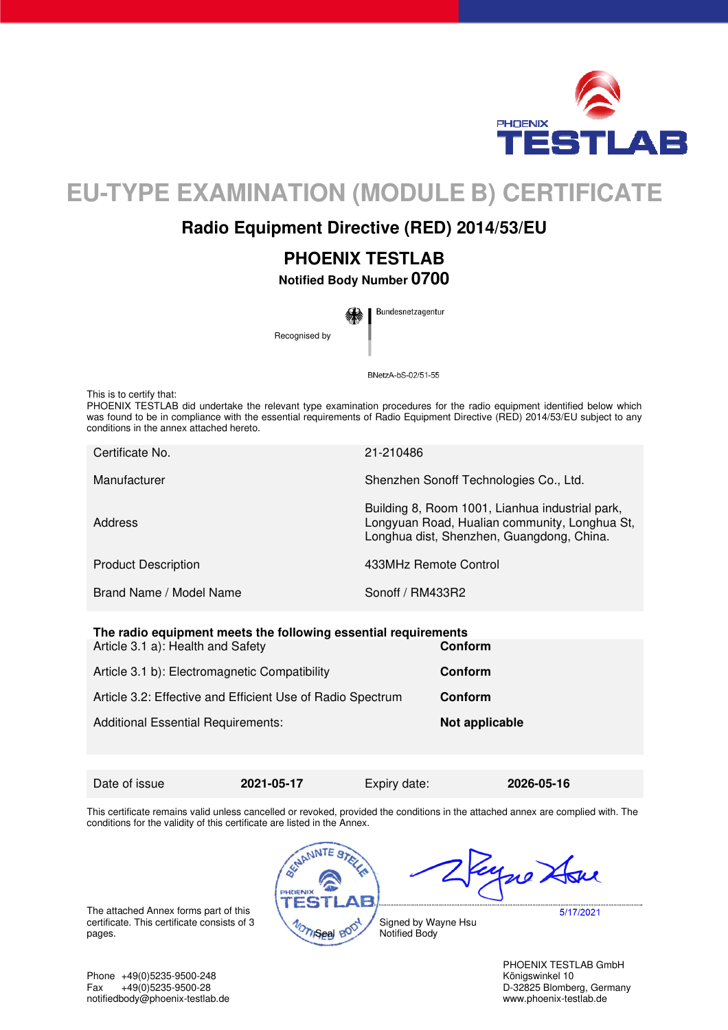

# **EU-TYPE EXAMINATION (MODULE B) CERTIFICATE**

## **Radio Equipment Directive (RED) 2014/53/EU**

## **PHOENIX TESTLAB**

**Notified Body Number 0700** 

Bundesnetzagentur Recognised by

BNetzA-bS-02/51-55

This is to certify that:

PHOENIX TESTLAB did undertake the relevant type examination procedures for the radio equipment identified below which was found to be in compliance with the essential requirements of Radio Equipment Directive (RED) 2014/53/EU subject to any conditions in the annex attached hereto.

| Certificate No.            | 21-210486                                                                                                                                     |
|----------------------------|-----------------------------------------------------------------------------------------------------------------------------------------------|
| Manufacturer               | Shenzhen Sonoff Technologies Co., Ltd.                                                                                                        |
| <b>Address</b>             | Building 8, Room 1001, Lianhua industrial park,<br>Longyuan Road, Hualian community, Longhua St,<br>Longhua dist, Shenzhen, Guangdong, China. |
| <b>Product Description</b> | 433MHz Remote Control                                                                                                                         |
| Brand Name / Model Name    | Sonoff / RM433R2                                                                                                                              |
|                            |                                                                                                                                               |

| The radio equipment meets the following essential requirements<br>Article 3.1 a): Health and Safety | Conform        |
|-----------------------------------------------------------------------------------------------------|----------------|
| Article 3.1 b): Electromagnetic Compatibility                                                       | Conform        |
| Article 3.2: Effective and Efficient Use of Radio Spectrum                                          | Conform        |
| <b>Additional Essential Requirements:</b>                                                           | Not applicable |

Date of issue **2021-05-17** Expiry date: **2026-05-16** 

This certificate remains valid unless cancelled or revoked, provided the conditions in the attached annex are complied with. The conditions for the validity of this certificate are listed in the Annex.



The attached Annex forms part of this certificate. This certificate consists of 3 pages.

Phone +49(0)5235-9500-248 Königswinkel 10 Fax +49(0)5235-9500-28 D-32825 Blomberg, Germany<br>
notifiedbody@phoenix-testlab.de<br>
www.phoenix-testlab.de notifiedbody@phoenix-testlab.de

PHOENIX TESTLAB GmbH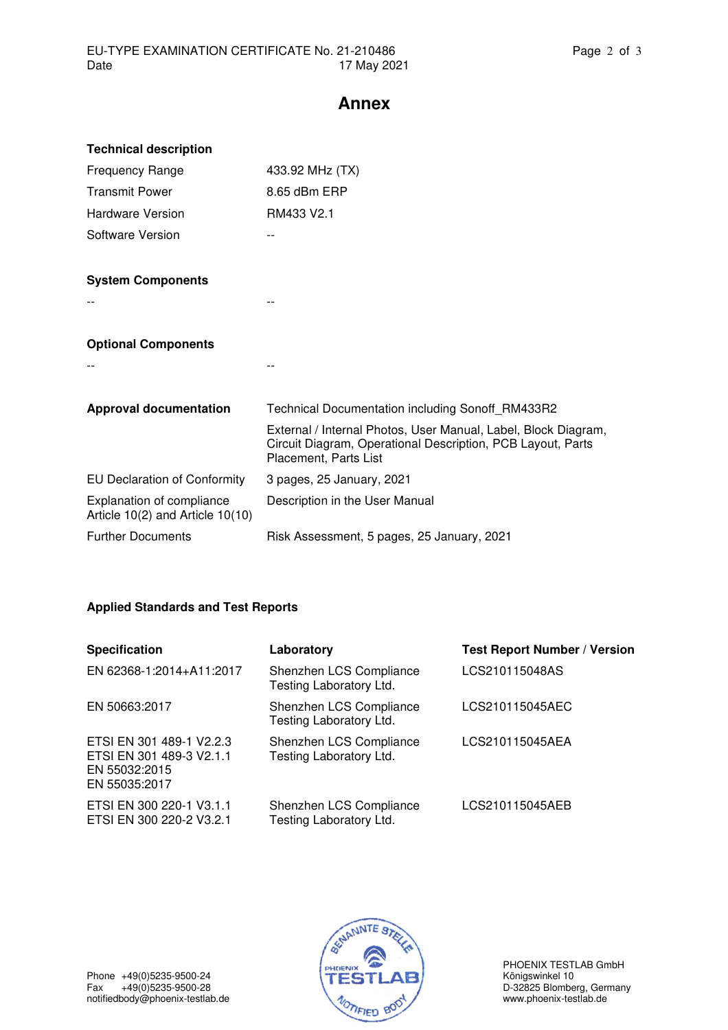## **Annex**

| <b>Technical description</b>                                      |                                                                                                                                                        |
|-------------------------------------------------------------------|--------------------------------------------------------------------------------------------------------------------------------------------------------|
| <b>Frequency Range</b>                                            | 433.92 MHz (TX)                                                                                                                                        |
| <b>Transmit Power</b>                                             | 8.65 dBm ERP                                                                                                                                           |
| Hardware Version                                                  | RM433 V2.1                                                                                                                                             |
| Software Version                                                  | --                                                                                                                                                     |
|                                                                   |                                                                                                                                                        |
| <b>System Components</b>                                          |                                                                                                                                                        |
|                                                                   |                                                                                                                                                        |
|                                                                   |                                                                                                                                                        |
| <b>Optional Components</b>                                        |                                                                                                                                                        |
|                                                                   |                                                                                                                                                        |
|                                                                   |                                                                                                                                                        |
| <b>Approval documentation</b>                                     | <b>Technical Documentation including Sonoff RM433R2</b>                                                                                                |
|                                                                   | External / Internal Photos, User Manual, Label, Block Diagram,<br>Circuit Diagram, Operational Description, PCB Layout, Parts<br>Placement, Parts List |
| <b>EU Declaration of Conformity</b>                               | 3 pages, 25 January, 2021                                                                                                                              |
| Explanation of compliance<br>Article $10(2)$ and Article $10(10)$ | Description in the User Manual                                                                                                                         |
| <b>Further Documents</b>                                          | Risk Assessment, 5 pages, 25 January, 2021                                                                                                             |

### **Applied Standards and Test Reports**

| <b>Specification</b>                                                                   | Laboratory                                         | <b>Test Report Number / Version</b> |
|----------------------------------------------------------------------------------------|----------------------------------------------------|-------------------------------------|
| EN 62368-1:2014+A11:2017                                                               | Shenzhen LCS Compliance<br>Testing Laboratory Ltd. | LCS210115048AS                      |
| EN 50663:2017                                                                          | Shenzhen LCS Compliance<br>Testing Laboratory Ltd. | LCS210115045AEC                     |
| ETSI EN 301 489-1 V2.2.3<br>ETSI EN 301 489-3 V2.1.1<br>EN 55032:2015<br>EN 55035:2017 | Shenzhen LCS Compliance<br>Testing Laboratory Ltd. | LCS210115045AEA                     |
| ETSI EN 300 220-1 V3.1.1<br>ETSI EN 300 220-2 V3.2.1                                   | Shenzhen LCS Compliance<br>Testing Laboratory Ltd. | LCS210115045AEB                     |